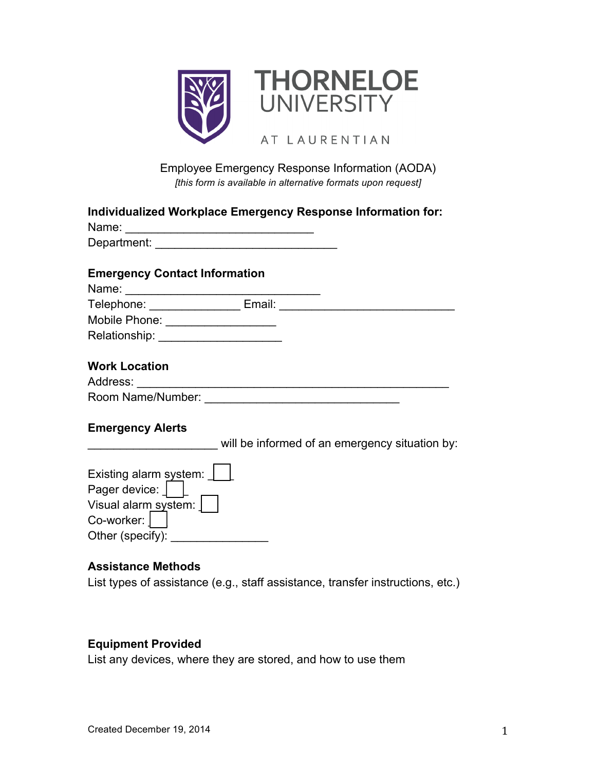

# Employee Emergency Response Information (AODA) *[this form is available in alternative formats upon request]*

| Name: 2008 2009 2010 2021 2022 2023 2024 2022 2023 2024 2022 2023 2024 2022 2023 2024 2022 2023 2024 2022 2023 | Individualized Workplace Emergency Response Information for: |
|----------------------------------------------------------------------------------------------------------------|--------------------------------------------------------------|
|                                                                                                                |                                                              |
| <b>Emergency Contact Information</b>                                                                           |                                                              |
|                                                                                                                |                                                              |
|                                                                                                                |                                                              |
| Mobile Phone: ___________________                                                                              |                                                              |
|                                                                                                                |                                                              |
| <b>Work Location</b>                                                                                           |                                                              |
|                                                                                                                |                                                              |
|                                                                                                                |                                                              |
| <b>Emergency Alerts</b>                                                                                        |                                                              |
|                                                                                                                | will be informed of an emergency situation by:               |
| Existing alarm system:  <br>Pager device: $\int$ $\begin{bmatrix} \end{bmatrix}$                               |                                                              |
| Visual alarm_system:                                                                                           |                                                              |
| $Co$ -worker: $ $                                                                                              |                                                              |
| Other (specify): _________________                                                                             |                                                              |
|                                                                                                                |                                                              |

#### **Assistance Methods**

List types of assistance (e.g., staff assistance, transfer instructions, etc.)

#### **Equipment Provided**

List any devices, where they are stored, and how to use them